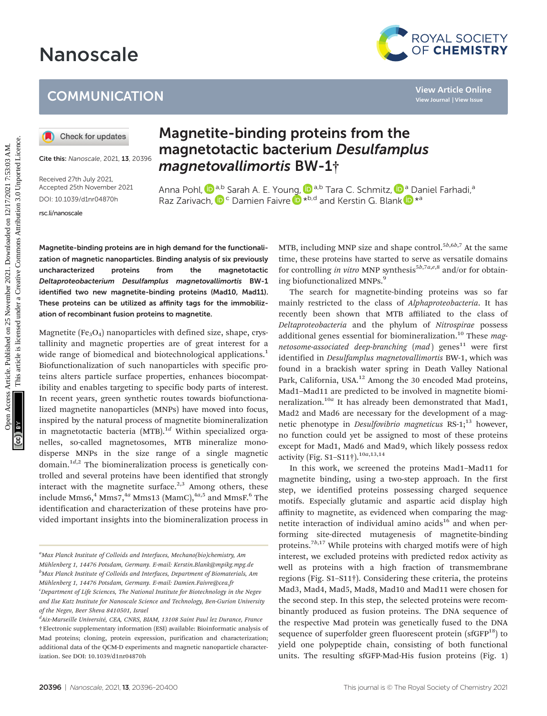# Nanoscale

### **COMMUNICATION**

Cite this: Nanoscale, 2021, 13, 20396

Received 27th July 2021, Accepted 25th November 2021 DOI: 10.1039/d1nr04870h

[rsc.li/nanoscale](www.rsc.li/nanoscale)

## Magnetite-binding proteins from the magnetotactic bacterium Desulfamplus magn[eto](http://orcid.org/0000-0002-9546-3168)vallimortis BW-1†

Anna Pohl,  $\pmb{\mathbb{D}}^{a,b}$  $\pmb{\mathbb{D}}^{a,b}$  $\pmb{\mathbb{D}}^{a,b}$  Sarah A. E. You[ng,](http://orcid.org/0000-0001-6191-3389)  $\pmb{\mathbb{D}}^{a,b}$  Tara C. Schmitz,  $\pmb{\mathbb{D}}^{a}$  Daniel Farhadi, $^a$ Raz Zarivach,  $\mathbf{D}^{\mathsf{c}}$  Damien Faivre  $\mathbf{D}^{*b,d}$  and Kerstin G. Blank  $\mathbf{D}^{*a}$ 

Magnetite-binding proteins are in high demand for the functionalization of magnetic nanoparticles. Binding analysis of six previously uncharacterized proteins from the magnetotactic Deltaproteobacterium Desulfamplus magnetovallimortis BW-1 identified two new magnetite-binding proteins (Mad10, Mad11). These proteins can be utilized as affinity tags for the immobilization of recombinant fusion proteins to magnetite.

Magnetite ( $Fe<sub>3</sub>O<sub>4</sub>$ ) nanoparticles with defined size, shape, crystallinity and magnetic properties are of great interest for a wide range of biomedical and biotechnological applications.<sup>1</sup> Biofunctionalization of such nanoparticles with specific proteins alters particle surface properties, enhances biocompatibility and enables targeting to specific body parts of interest. In recent years, green synthetic routes towards biofunctionalized magnetite nanoparticles (MNPs) have moved into focus, inspired by the natural process of magnetite biomineralization in magnetotactic bacteria  $(MTB).$ <sup>1d</sup> Within specialized organelles, so-called magnetosomes, MTB mineralize monodisperse MNPs in the size range of a single magnetic domain. $1^{d,2}$  The biomineralization process is genetically controlled and several proteins have been identified that strongly interact with the magnetite surface. $2,3$  Among others, these include Mms6, $4$  Mms7, $4a$  Mms13 (MamC), $4a,5$  and MmsF. $6$  The identification and characterization of these proteins have provided important insights into the biomineralization process in

MTB, including MNP size and shape control.<sup>5b,6b,7</sup> At the same time, these proteins have started to serve as versatile domains for controlling in vitro MNP synthesis<sup>5b,7a,e,8</sup> and/or for obtaining biofunctionalized MNPs.<sup>9</sup>

The search for magnetite-binding proteins was so far mainly restricted to the class of Alphaproteobacteria. It has recently been shown that MTB affiliated to the class of Deltaproteobacteria and the phylum of Nitrospirae possess additional genes essential for biomineralization.<sup>10</sup> These  $mag$ netosome-associated deep-branching  $(mad)$  genes<sup>11</sup> were first identified in *Desulfamplus magnetovallimortis* BW-1, which was found in a brackish water spring in Death Valley National Park, California, USA.<sup>12</sup> Among the 30 encoded Mad proteins, Mad1–Mad11 are predicted to be involved in magnetite biomineralization.<sup>10a</sup> It has already been demonstrated that Mad1, Mad2 and Mad6 are necessary for the development of a magnetic phenotype in *Desulfovibrio magneticus* RS-1;<sup>13</sup> however, no function could yet be assigned to most of these proteins except for Mad1, Mad6 and Mad9, which likely possess redox activity (Fig. S1–S11†).10a,13,14 COMMUNICATION<br> **(0)** Checkforupdates<br> **Magnetite-binding proteins from the**<br> **Magnetite-binding proteins from the**<br> **Magnetite-binding proteins from the**<br> **Magnetional Phase Constant Constant Constant Constant Constant Co** 

> In this work, we screened the proteins Mad1–Mad11 for magnetite binding, using a two-step approach. In the first step, we identified proteins possessing charged sequence motifs. Especially glutamic and aspartic acid display high affinity to magnetite, as evidenced when comparing the magnetite interaction of individual amino  $acids^{16}$  and when performing site-directed mutagenesis of magnetite-binding proteins.<sup>7b,17</sup> While proteins with charged motifs were of high interest, we excluded proteins with predicted redox activity as well as proteins with a high fraction of transmembrane regions (Fig. S1–S11†). Considering these criteria, the proteins Mad3, Mad4, Mad5, Mad8, Mad10 and Mad11 were chosen for the second step. In this step, the selected proteins were recombinantly produced as fusion proteins. The DNA sequence of the respective Mad protein was genetically fused to the DNA sequence of superfolder green fluorescent protein  $(sfGFP^{18})$  to yield one polypeptide chain, consisting of both functional units. The resulting sfGFP-Mad-His fusion proteins (Fig. 1)

<sup>&</sup>lt;sup>a</sup>Max Planck Institute of Colloids and Interfaces, Mechano(bio)chemistry, Am Mühlenberg 1, 14476 Potsdam, Germany. E-mail: Kerstin.Blank@mpikg.mpg.de  $^b$ Max Planck Institute of Colloids and Interfaces, Department of Biomaterials, Am Mühlenberg 1, 14476 Potsdam, Germany. E-mail: Damien.Faivre@cea.fr <sup>c</sup>Department of Life Sciences, The National Institute for Biotechnology in the Negev and Ilse Katz Institute for Nanoscale Science and Technology, Ben-Gurion University of the Negev, Beer Sheva 8410501, Israel

<sup>†</sup>Electronic supplementary information (ESI) available: Bioinformatic analysis of Mad proteins; cloning, protein expression, purification and characterization; additional data of the QCM-D experiments and magnetic nanoparticle characterization. See DOI: 10.1039/d1nr04870h <sup>d</sup>Aix-Marseille Université, CEA, CNRS, BIAM, 13108 Saint Paul lez Durance, France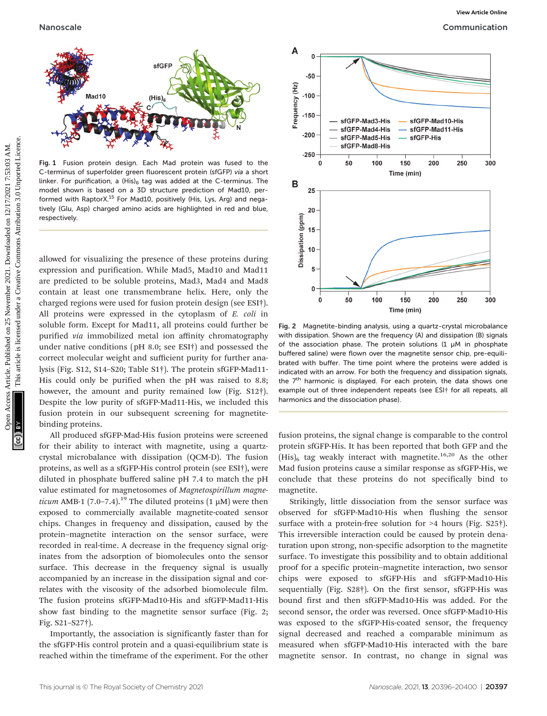

Fig. 1 Fusion protein design. Each Mad protein was fused to the C-terminus of superfolder green fluorescent protein (sfGFP) via a short linker. For purification, a  $(His)_6$  tag was added at the C-terminus. The model shown is based on a 3D structure prediction of Mad10, performed with RaptorX.<sup>15</sup> For Mad10, positively (His, Lys, Arg) and negatively (Glu, Asp) charged amino acids are highlighted in red and blue, respectively.

allowed for visualizing the presence of these proteins during expression and purification. While Mad5, Mad10 and Mad11 are predicted to be soluble proteins, Mad3, Mad4 and Mad8 contain at least one transmembrane helix. Here, only the charged regions were used for fusion protein design (see ESI†). All proteins were expressed in the cytoplasm of E. coli in soluble form. Except for Mad11, all proteins could further be purified via immobilized metal ion affinity chromatography under native conditions (pH 8.0; see ESI†) and possessed the correct molecular weight and sufficient purity for further analysis (Fig. S12, S14–S20; Table S1†). The protein sfGFP-Mad11- His could only be purified when the pH was raised to 8.8; however, the amount and purity remained low (Fig. S12†). Despite the low purity of sfGFP-Mad11-His, we included this fusion protein in our subsequent screening for magnetitebinding proteins.

All produced sfGFP-Mad-His fusion proteins were screened for their ability to interact with magnetite, using a quartzcrystal microbalance with dissipation (QCM-D). The fusion proteins, as well as a sfGFP-His control protein (see ESI†), were diluted in phosphate buffered saline pH 7.4 to match the pH value estimated for magnetosomes of Magnetospirillum magneticum AMB-1 (7.0–7.4).<sup>19</sup> The diluted proteins (1  $\mu$ M) were then exposed to commercially available magnetite-coated sensor chips. Changes in frequency and dissipation, caused by the protein–magnetite interaction on the sensor surface, were recorded in real-time. A decrease in the frequency signal originates from the adsorption of biomolecules onto the sensor surface. This decrease in the frequency signal is usually accompanied by an increase in the dissipation signal and correlates with the viscosity of the adsorbed biomolecule film. The fusion proteins sfGFP-Mad10-His and sfGFP-Mad11-His show fast binding to the magnetite sensor surface (Fig. 2; Fig. S21–S27†).

Importantly, the association is significantly faster than for the sfGFP-His control protein and a quasi-equilibrium state is reached within the timeframe of the experiment. For the other



Fig. 2 Magnetite-binding analysis, using a quartz-crystal microbalance with dissipation. Shown are the frequency (A) and dissipation (B) signals of the association phase. The protein solutions  $(1 \mu M)$  in phosphate buffered saline) were flown over the magnetite sensor chip, pre-equilibrated with buffer. The time point where the proteins were added is indicated with an arrow. For both the frequency and dissipation signals, the  $7<sup>th</sup>$  harmonic is displayed. For each protein, the data shows one example out of three independent repeats (see ESI† for all repeats, all harmonics and the dissociation phase).

fusion proteins, the signal change is comparable to the control protein sfGFP-His. It has been reported that both GFP and the  $(His)$ <sub>6</sub> tag weakly interact with magnetite.<sup>16,20</sup> As the other Mad fusion proteins cause a similar response as sfGFP-His, we conclude that these proteins do not specifically bind to magnetite.

Strikingly, little dissociation from the sensor surface was observed for sfGFP-Mad10-His when flushing the sensor surface with a protein-free solution for >4 hours (Fig. S25†). This irreversible interaction could be caused by protein denaturation upon strong, non-specific adsorption to the magnetite surface. To investigate this possibility and to obtain additional proof for a specific protein–magnetite interaction, two sensor chips were exposed to sfGFP-His and sfGFP-Mad10-His sequentially (Fig. S28†). On the first sensor, sfGFP-His was bound first and then sfGFP-Mad10-His was added. For the second sensor, the order was reversed. Once sfGFP-Mad10-His was exposed to the sfGFP-His-coated sensor, the frequency signal decreased and reached a comparable minimum as measured when sfGFP-Mad10-His interacted with the bare magnetite sensor. In contrast, no change in signal was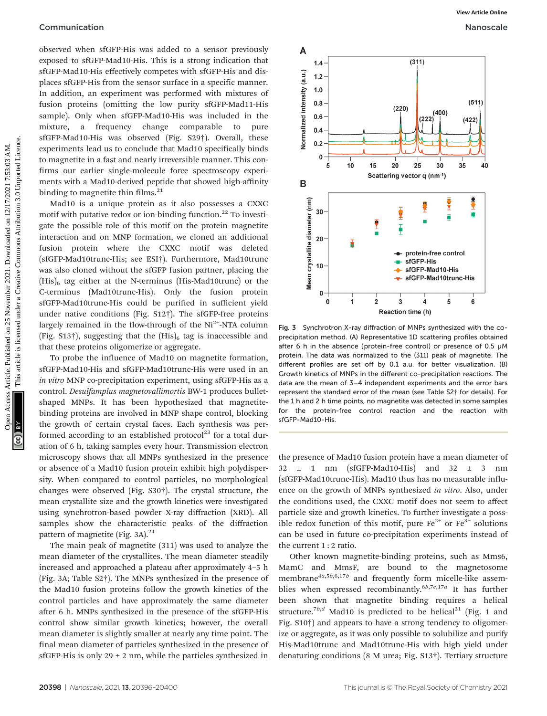### **Communication** Nanoscale Nanoscale Nanoscale Nanoscale Nanoscale Nanoscale Nanoscale Nanoscale Nanoscale Nanoscale Nanoscale Nanoscale Nanoscale Nanoscale Nanoscale Nanoscale Nanoscale Nanoscale Nanoscale Nanoscale Nanosc

observed when sfGFP-His was added to a sensor previously exposed to sfGFP-Mad10-His. This is a strong indication that sfGFP-Mad10-His effectively competes with sfGFP-His and displaces sfGFP-His from the sensor surface in a specific manner. In addition, an experiment was performed with mixtures of fusion proteins (omitting the low purity sfGFP-Mad11-His sample). Only when sfGFP-Mad10-His was included in the mixture, a frequency change comparable to pure sfGFP-Mad10-His was observed (Fig. S29†). Overall, these experiments lead us to conclude that Mad10 specifically binds to magnetite in a fast and nearly irreversible manner. This confirms our earlier single-molecule force spectroscopy experiments with a Mad10-derived peptide that showed high-affinity binding to magnetite thin films.<sup>21</sup>

Mad10 is a unique protein as it also possesses a CXXC motif with putative redox or ion-binding function.<sup>22</sup> To investigate the possible role of this motif on the protein–magnetite interaction and on MNP formation, we cloned an additional fusion protein where the CXXC motif was deleted (sfGFP-Mad10trunc-His; see ESI†). Furthermore, Mad10trunc was also cloned without the sfGFP fusion partner, placing the  $(His)_6$  tag either at the N-terminus (His-Mad10trunc) or the C-terminus (Mad10trunc-His). Only the fusion protein sfGFP-Mad10trunc-His could be purified in sufficient yield under native conditions (Fig. S12†). The sfGFP-free proteins largely remained in the flow-through of the  $Ni<sup>2+</sup>-NTA$  column (Fig.  $S13\dagger$ ), suggesting that the  $(His)_6$  tag is inaccessible and that these proteins oligomerize or aggregate.

To probe the influence of Mad10 on magnetite formation, sfGFP-Mad10-His and sfGFP-Mad10trunc-His were used in an in vitro MNP co-precipitation experiment, using sfGFP-His as a control. Desulfamplus magnetovallimortis BW-1 produces bulletshaped MNPs. It has been hypothesized that magnetitebinding proteins are involved in MNP shape control, blocking the growth of certain crystal faces. Each synthesis was performed according to an established protocol<sup>23</sup> for a total duration of 6 h, taking samples every hour. Transmission electron microscopy shows that all MNPs synthesized in the presence or absence of a Mad10 fusion protein exhibit high polydispersity. When compared to control particles, no morphological changes were observed (Fig. S30†). The crystal structure, the mean crystallite size and the growth kinetics were investigated using synchrotron-based powder X-ray diffraction (XRD). All samples show the characteristic peaks of the diffraction pattern of magnetite (Fig. 3A). $^{24}$ 

The main peak of magnetite (311) was used to analyze the mean diameter of the crystallites. The mean diameter steadily increased and approached a plateau after approximately 4–5 h (Fig. 3A; Table S2†). The MNPs synthesized in the presence of the Mad10 fusion proteins follow the growth kinetics of the control particles and have approximately the same diameter after 6 h. MNPs synthesized in the presence of the sfGFP-His control show similar growth kinetics; however, the overall mean diameter is slightly smaller at nearly any time point. The final mean diameter of particles synthesized in the presence of sfGFP-His is only  $29 \pm 2$  nm, while the particles synthesized in



Fig. 3 Synchrotron X-ray diffraction of MNPs synthesized with the coprecipitation method. (A) Representative 1D scattering profiles obtained after 6 h in the absence (protein-free control) or presence of 0.5 µM protein. The data was normalized to the (311) peak of magnetite. The different profiles are set off by 0.1 a.u. for better visualization. (B) Growth kinetics of MNPs in the different co-precipitation reactions. The data are the mean of 3–4 independent experiments and the error bars represent the standard error of the mean (see Table S2† for details). For the 1 h and 2 h time points, no magnetite was detected in some samples for the protein-free control reaction and the reaction with sfGFP-Mad10-His.

the presence of Mad10 fusion protein have a mean diameter of  $32 \pm 1$  nm (sfGFP-Mad10-His) and  $32 \pm 3$  nm (sfGFP-Mad10trunc-His). Mad10 thus has no measurable influence on the growth of MNPs synthesized in vitro. Also, under the conditions used, the CXXC motif does not seem to affect particle size and growth kinetics. To further investigate a possible redox function of this motif, pure  $Fe^{2+}$  or  $Fe^{3+}$  solutions can be used in future co-precipitation experiments instead of the current 1 : 2 ratio.

Other known magnetite-binding proteins, such as Mms6, MamC and MmsF, are bound to the magnetosome membrane $4a,5b,6,17b$  and frequently form micelle-like assemblies when expressed recombinantly.<sup>6b,7e,17a</sup> It has further been shown that magnetite binding requires a helical structure.<sup>7b,d</sup> Mad10 is predicted to be helical<sup>21</sup> (Fig. 1 and Fig. S10†) and appears to have a strong tendency to oligomerize or aggregate, as it was only possible to solubilize and purify His-Mad10trunc and Mad10trunc-His with high yield under denaturing conditions (8 M urea; Fig. S13†). Tertiary structure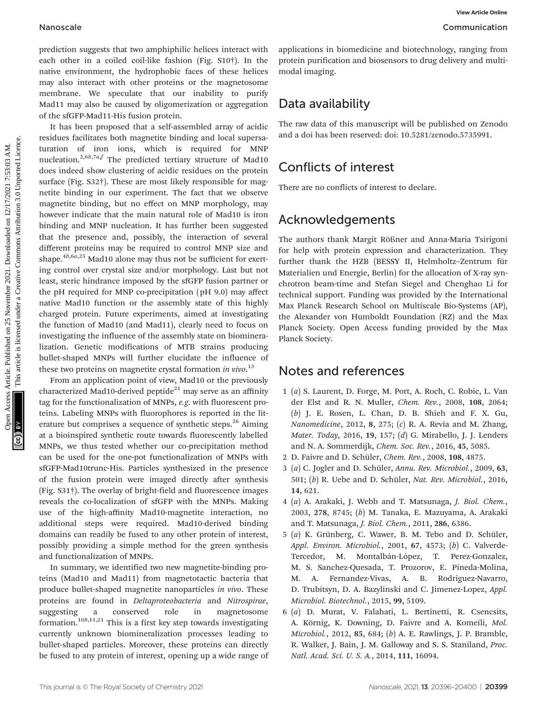prediction suggests that two amphiphilic helices interact with each other in a coiled coil-like fashion (Fig. S10†). In the native environment, the hydrophobic faces of these helices may also interact with other proteins or the magnetosome membrane. We speculate that our inability to purify Mad11 may also be caused by oligomerization or aggregation of the sfGFP-Mad11-His fusion protein.

It has been proposed that a self-assembled array of acidic residues facilitates both magnetite binding and local supersaturation of iron ions, which is required for MNP nucleation.<sup>2,6b,7a,f</sup> The predicted tertiary structure of Mad10 does indeed show clustering of acidic residues on the protein surface (Fig. S32†). These are most likely responsible for magnetite binding in our experiment. The fact that we observe magnetite binding, but no effect on MNP morphology, may however indicate that the main natural role of Mad10 is iron binding and MNP nucleation. It has further been suggested that the presence and, possibly, the interaction of several different proteins may be required to control MNP size and shape. $4b,6a,25$  Mad10 alone may thus not be sufficient for exerting control over crystal size and/or morphology. Last but not least, steric hindrance imposed by the sfGFP fusion partner or the pH required for MNP co-precipitation (pH 9.0) may affect native Mad10 function or the assembly state of this highly charged protein. Future experiments, aimed at investigating the function of Mad10 (and Mad11), clearly need to focus on investigating the influence of the assembly state on biomineralization. Genetic modifications of MTB strains producing bullet-shaped MNPs will further elucidate the influence of these two proteins on magnetite crystal formation in vivo.<sup>13</sup> Nanoscale<br>
provides are a collected on 25 November 2021. The chromaton and biosensor to drug delivery and made<br>
cash of the an collected on 25 November 2022. Since the appearance on 26 normalization and biosensor to drug

From an application point of view, Mad10 or the previously characterized Mad10-derived peptide<sup>21</sup> may serve as an affinity tag for the functionalization of MNPs, e.g. with fluorescent proteins. Labeling MNPs with fluorophores is reported in the literature but comprises a sequence of synthetic steps.<sup>26</sup> Aiming at a bioinspired synthetic route towards fluorescently labelled MNPs, we thus tested whether our co-precipitation method can be used for the one-pot functionalization of MNPs with sfGFP-Mad10trunc-His. Particles synthesized in the presence of the fusion protein were imaged directly after synthesis (Fig. S31†). The overlay of bright-field and fluorescence images reveals the co-localization of sfGFP with the MNPs. Making use of the high-affinity Mad10-magnetite interaction, no additional steps were required. Mad10-derived binding domains can readily be fused to any other protein of interest, possibly providing a simple method for the green synthesis and functionalization of MNPs.

In summary, we identified two new magnetite-binding proteins (Mad10 and Mad11) from magnetotactic bacteria that produce bullet-shaped magnetite nanoparticles in vivo. These proteins are found in Deltaproteobacteria and Nitrospirae, suggesting a conserved role in magnetosome formation.10b,11,21 This is a first key step towards investigating currently unknown biomineralization processes leading to bullet-shaped particles. Moreover, these proteins can directly be fused to any protein of interest, opening up a wide range of

applications in biomedicine and biotechnology, ranging from protein purification and biosensors to drug delivery and multimodal imaging.

### Data availability

The raw data of this manuscript will be published on Zenodo and a doi has been reserved: doi: 10.5281/zenodo.5735991.

### Conflicts of interest

There are no conflicts of interest to declare.

### Acknowledgements

The authors thank Margit Rößner and Anna-Maria Tsirigoni for help with protein expression and characterization. They further thank the HZB (BESSY II, Helmholtz–Zentrum für Materialien und Energie, Berlin) for the allocation of X-ray synchrotron beam-time and Stefan Siegel and Chenghao Li for technical support. Funding was provided by the International Max Planck Research School on Multiscale Bio-Systems (AP), the Alexander von Humboldt Foundation (RZ) and the Max Planck Society. Open Access funding provided by the Max Planck Society.

### Notes and references

- 1 (a) S. Laurent, D. Forge, M. Port, A. Roch, C. Robic, L. Van der Elst and R. N. Muller, Chem. Rev., 2008, 108, 2064; (b) J. E. Rosen, L. Chan, D. B. Shieh and F. X. Gu, Nanomedicine, 2012, 8, 275;  $(c)$  R. A. Revia and M. Zhang, Mater. Today, 2016, 19, 157; (d) G. Mirabello, J. J. Lenders and N. A. Sommerdijk, Chem. Soc. Rev., 2016, 45, 5085.
- 2 D. Faivre and D. Schüler, Chem. Rev., 2008, 108, 4875.
- 3 (a) C. Jogler and D. Schüler, Annu. Rev. Microbiol., 2009, 63, 501; (b) R. Uebe and D. Schüler, Nat. Rev. Microbiol., 2016, 14, 621.
- 4 (a) A. Arakaki, J. Webb and T. Matsunaga, J. Biol. Chem., 2003, 278, 8745; (b) M. Tanaka, E. Mazuyama, A. Arakaki and T. Matsunaga, J. Biol. Chem., 2011, 286, 6386.
- 5 (a) K. Grünberg, C. Wawer, B. M. Tebo and D. Schüler, Appl. Environ. Microbiol., 2001, 67, 4573; (b) C. Valverde-Tercedor, M. Montalbán-López, T. Perez-Gonzalez, M. S. Sanchez-Quesada, T. Prozorov, E. Pineda-Molina, M. A. Fernandez-Vivas, A. B. Rodriguez-Navarro, D. Trubitsyn, D. A. Bazylinski and C. Jimenez-Lopez, Appl. Microbiol. Biotechnol., 2015, 99, 5109.
- 6 (a) D. Murat, V. Falahati, L. Bertinetti, R. Csencsits, A. Körnig, K. Downing, D. Faivre and A. Komeili, Mol. Microbiol., 2012, 85, 684; (b) A. E. Rawlings, J. P. Bramble, R. Walker, J. Bain, J. M. Galloway and S. S. Staniland, Proc. Natl. Acad. Sci. U. S. A., 2014, 111, 16094.